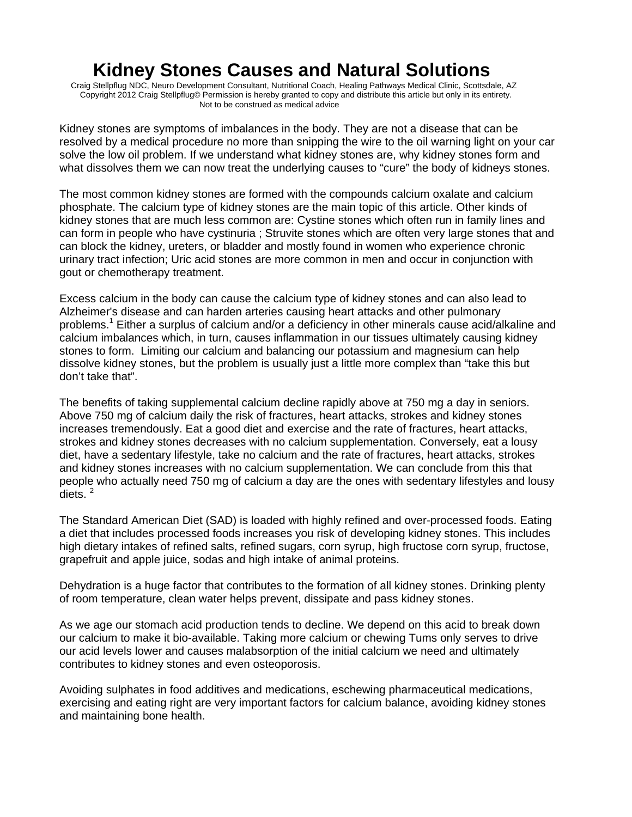## **Kidney Stones Causes and Natural Solutions**

 Craig Stellpflug NDC, Neuro Development Consultant, Nutritional Coach, Healing Pathways Medical Clinic, Scottsdale, AZ Copyright 2012 Craig Stellpflug© Permission is hereby granted to copy and distribute this article but only in its entirety. Not to be construed as medical advice

Kidney stones are symptoms of imbalances in the body. They are not a disease that can be resolved by a medical procedure no more than snipping the wire to the oil warning light on your car solve the low oil problem. If we understand what kidney stones are, why kidney stones form and what dissolves them we can now treat the underlying causes to "cure" the body of kidneys stones.

The most common kidney stones are formed with the compounds calcium oxalate and calcium phosphate. The calcium type of kidney stones are the main topic of this article. Other kinds of kidney stones that are much less common are: Cystine stones which often run in family lines and can form in people who have cystinuria ; Struvite stones which are often very large stones that and can block the kidney, ureters, or bladder and mostly found in women who experience chronic urinary tract infection; Uric acid stones are more common in men and occur in conjunction with gout or chemotherapy treatment.

Excess calcium in the body can cause the calcium type of kidney stones and can also lead to Alzheimer's disease and can harden arteries causing heart attacks and other pulmonary problems.<sup>1</sup> Either a surplus of calcium and/or a deficiency in other minerals cause acid/alkaline and calcium imbalances which, in turn, causes inflammation in our tissues ultimately causing kidney stones to form. Limiting our calcium and balancing our potassium and magnesium can help dissolve kidney stones, but the problem is usually just a little more complex than "take this but don't take that".

The benefits of taking supplemental calcium decline rapidly above at 750 mg a day in seniors. Above 750 mg of calcium daily the risk of fractures, heart attacks, strokes and kidney stones increases tremendously. Eat a good diet and exercise and the rate of fractures, heart attacks, strokes and kidney stones decreases with no calcium supplementation. Conversely, eat a lousy diet, have a sedentary lifestyle, take no calcium and the rate of fractures, heart attacks, strokes and kidney stones increases with no calcium supplementation. We can conclude from this that people who actually need 750 mg of calcium a day are the ones with sedentary lifestyles and lousy diets.<sup>2</sup>

The Standard American Diet (SAD) is loaded with highly refined and over-processed foods. Eating a diet that includes processed foods increases you risk of developing kidney stones. This includes high dietary intakes of refined salts, refined sugars, corn syrup, high fructose corn syrup, fructose, grapefruit and apple juice, sodas and high intake of animal proteins.

Dehydration is a huge factor that contributes to the formation of all kidney stones. Drinking plenty of room temperature, clean water helps prevent, dissipate and pass kidney stones.

As we age our stomach acid production tends to decline. We depend on this acid to break down our calcium to make it bio-available. Taking more calcium or chewing Tums only serves to drive our acid levels lower and causes malabsorption of the initial calcium we need and ultimately contributes to kidney stones and even osteoporosis.

Avoiding sulphates in food additives and medications, eschewing pharmaceutical medications, exercising and eating right are very important factors for calcium balance, avoiding kidney stones and maintaining bone health.